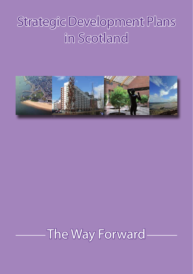# Strategic Development Plans in Scotland



## The Way Forward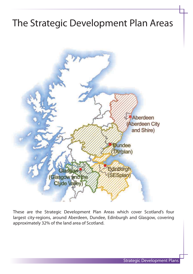### The Strategic Development Plan Areas



These are the Strategic Development Plan Areas which cover Scotland's four largest city-regions, around Aberdeen, Dundee, Edinburgh and Glasgow, covering approximately 32% of the land area of Scotland.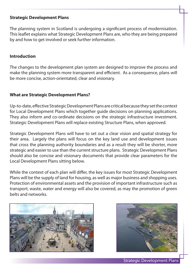#### **Strategic Development Plans**

The planning system in Scotland is undergoing a significant process of modernisation. This leaflet explains what Strategic Development Plans are, who they are being prepared by and how to get involved or seek further information.

#### **Introduction**

The changes to the development plan system are designed to improve the process and make the planning system more transparent and efficient. As a consequence, plans will be more concise, action-orientated, clear and visionary.

#### **What are Strategic Development Plans?**

Up-to-date, effective Strategic Development Plans are critical because they set the context for Local Development Plans which together guide decisions on planning applications. They also inform and co-ordinate decisions on the strategic infrastructure investment. Strategic Development Plans will replace existing Structure Plans, when approved.

Strategic Development Plans will have to set out a clear vision and spatial strategy for their area. Largely the plans will focus on the key land use and development issues that cross the planning authority boundaries and as a result they will be shorter, more strategic and easier to use than the current structure plans. Strategic Development Plans should also be concise and visionary documents that provide clear parameters for the Local Development Plans sitting below.

While the context of each plan will differ, the key issues for most Strategic Development Plans will be the supply of land for housing, as well as major business and shopping uses. Protection of environmental assets and the provision of important infrastructure such as transport, waste, water and energy will also be covered, as may the promotion of green belts and networks.



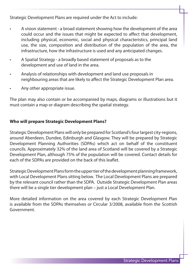Strategic Development Plans are required under the Act to include:

- A vision statement a broad statement showing how the development of the area could occur and the issues that might be expected to affect that development, including physical, economic, social and physical characteristics, principal land use, the size, composition and distribution of the population of the area, the infrastructure, how the infrastructure is used and any anticipated changes.
- A Spatial Strategy a broadly based statement of proposals as to the development and use of land in the area.
- Analysis of relationships with development and land use proposals in neighbouring areas that are likely to affect the Strategic Development Plan area.
- Any other appropriate issue.

The plan may also contain or be accompanied by maps, diagrams or illustrations but it must contain a map or diagram describing the spatial strategy.

### **Who will prepare Strategic Development Plans?**

Strategic Development Plans will only be prepared for Scotland's four largest city-regions, around Aberdeen, Dundee, Edinburgh and Glasgow. They will be prepared by Strategic Development Planning Authorities (SDPAs) which act on behalf of the constituent councils. Approximately 32% of the land area of Scotland will be covered by a Strategic Development Plan, although 75% of the population will be covered. Contact details for each of the SDPAs are provided on the back of this leaflet.

Strategic Development Plans form the upper tier of the development planning framework, with Local Development Plans sitting below. The Local Development Plans are prepared by the relevant council rather than the SDPA. Outside Strategic Development Plan areas there will be a single tier development plan – just a Local Development Plan.

More detailed information on the area covered by each Strategic Development Plan is available from the SDPAs themselves or Circular 3/2008, available from the Scottish Government.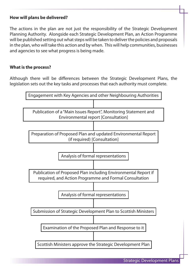#### **How will plans be delivered?**

The actions in the plan are not just the responsibility of the Strategic Development Planning Authority. Alongside each Strategic Development Plan, an Action Programme will be published setting out what steps will be taken to deliver the policies and proposals in the plan, who will take this action and by when. This will help communities, businesses and agencies to see what progress is being made.

#### **What is the process?**

Although there will be differences between the Strategic Development Plans, the legislation sets out the key tasks and processes that each authority must complete.

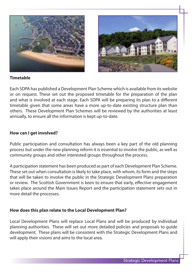



#### **Timetable**

Each SDPA has published a Development Plan Scheme which is available from its website or on request. These set out the proposed timetable for the preparation of the plan and what is involved at each stage. Each SDPA will be preparing its plan to a different timetable given that some areas have a more up-to-date existing structure plan than others. These Development Plan Schemes will be reviewed by the authorities at least annually, to ensure all the information is kept up-to-date.

#### **How can I get involved?**

Public participation and consultation has always been a key part of the old planning process but under the new planning reform it is essential to involve the public, as well as community groups and other interested groups throughout the process.

A participation statement has been produced as part of each Development Plan Scheme. These set out when consultation is likely to take place, with whom, its form and the steps that will be taken to involve the public in the Strategic Development Plans preparation or review. The Scottish Government is keen to ensure that early, effective engagement takes place around the Main Issues Report and the participation statement sets out in more detail the processes.

#### **How does this plan relate to the Local Development Plan?**

Local Development Plans will replace Local Plans and will be produced by individual planning authorities. These will set out more detailed policies and proposals to guide development. These plans will be consistent with the Strategic Development Plans and will apply their visions and aims to the local area.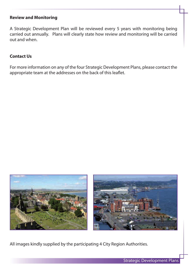#### **Review and Monitoring**

A Strategic Development Plan will be reviewed every 5 years with monitoring being carried out annually. Plans will clearly state how review and monitoring will be carried out and when.

#### **Contact Us**

For more information on any of the four Strategic Development Plans, please contact the appropriate team at the addresses on the back of this leaflet.



All images kindly supplied by the participating 4 City Region Authorities.